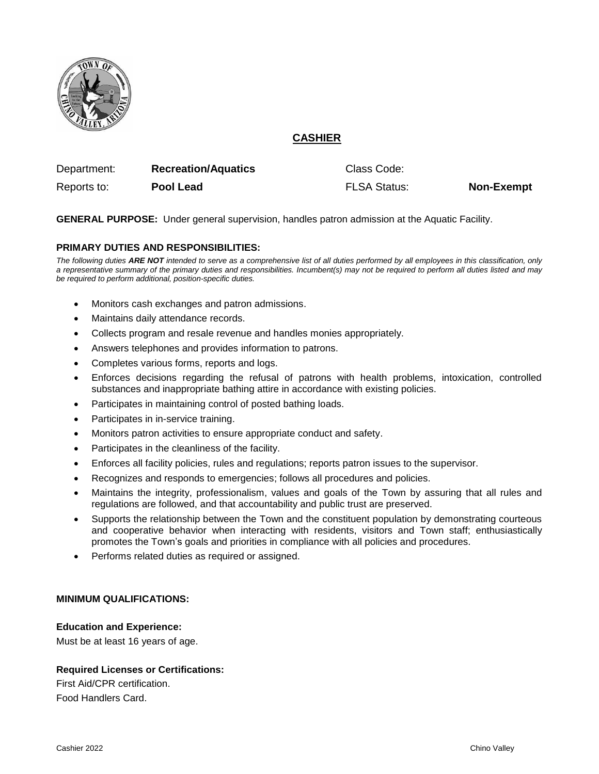

# **CASHIER**

| Department: | <b>Recreation/Aquatics</b> | Class Code:         |                   |
|-------------|----------------------------|---------------------|-------------------|
| Reports to: | Pool Lead                  | <b>FLSA Status:</b> | <b>Non-Exempt</b> |

**GENERAL PURPOSE:** Under general supervision, handles patron admission at the Aquatic Facility.

# **PRIMARY DUTIES AND RESPONSIBILITIES:**

*The following duties ARE NOT intended to serve as a comprehensive list of all duties performed by all employees in this classification, only a representative summary of the primary duties and responsibilities. Incumbent(s) may not be required to perform all duties listed and may be required to perform additional, position-specific duties.*

- Monitors cash exchanges and patron admissions.
- Maintains daily attendance records.
- Collects program and resale revenue and handles monies appropriately.
- Answers telephones and provides information to patrons.
- Completes various forms, reports and logs.
- Enforces decisions regarding the refusal of patrons with health problems, intoxication, controlled substances and inappropriate bathing attire in accordance with existing policies.
- Participates in maintaining control of posted bathing loads.
- Participates in in-service training.
- Monitors patron activities to ensure appropriate conduct and safety.
- Participates in the cleanliness of the facility.
- Enforces all facility policies, rules and regulations; reports patron issues to the supervisor.
- Recognizes and responds to emergencies; follows all procedures and policies.
- Maintains the integrity, professionalism, values and goals of the Town by assuring that all rules and regulations are followed, and that accountability and public trust are preserved.
- Supports the relationship between the Town and the constituent population by demonstrating courteous and cooperative behavior when interacting with residents, visitors and Town staff; enthusiastically promotes the Town's goals and priorities in compliance with all policies and procedures.
- Performs related duties as required or assigned.

### **MINIMUM QUALIFICATIONS:**

### **Education and Experience:**

Must be at least 16 years of age.

# **Required Licenses or Certifications:**

First Aid/CPR certification. Food Handlers Card.